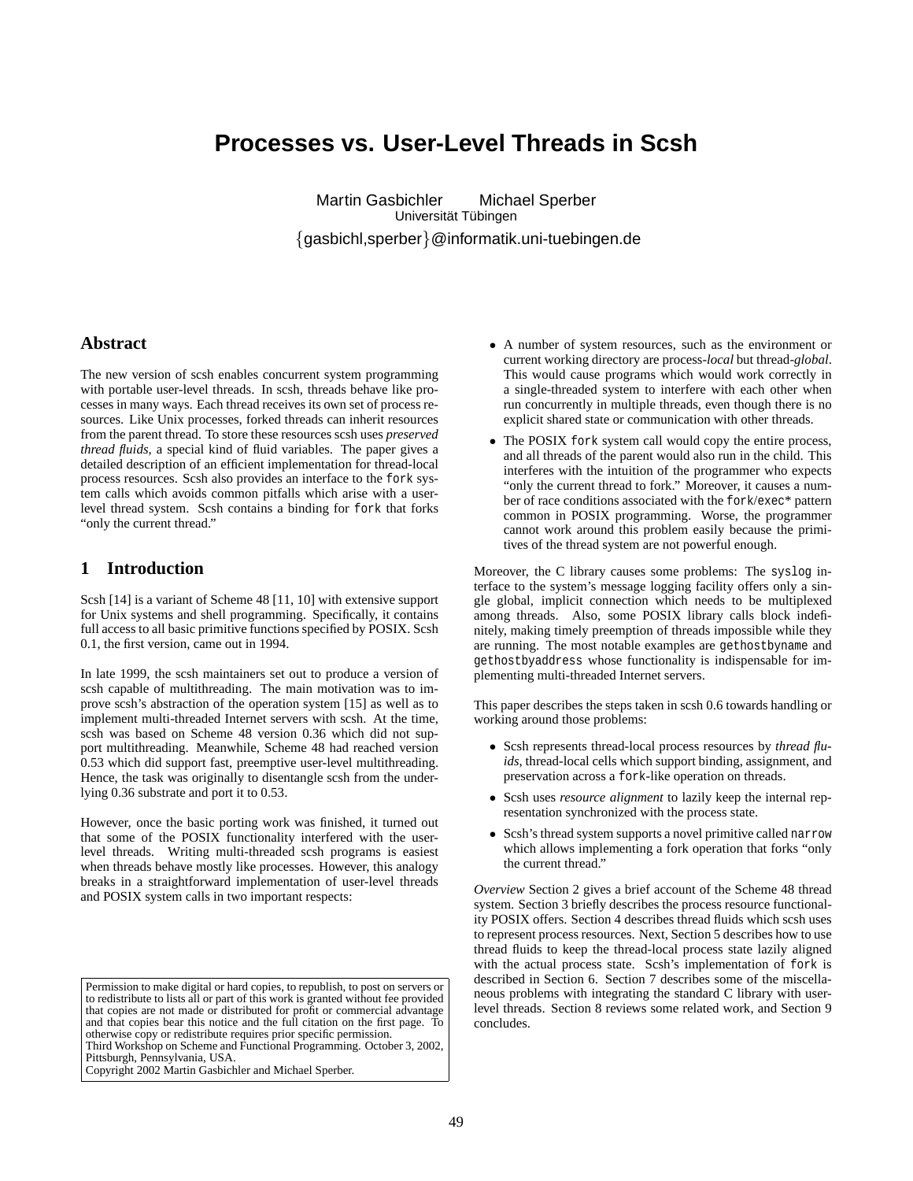# **Processes vs. User-Level Threads in Scsh**

Martin Gasbichler Michael Sperber Universität Tübingen {gasbichl,sperber}@informatik.uni-tuebingen.de

#### **Abstract**

The new version of scsh enables concurrent system programming with portable user-level threads. In scsh, threads behave like processes in many ways. Each thread receives its own set of process resources. Like Unix processes, forked threads can inherit resources from the parent thread. To store these resources scsh uses *preserved thread fluids*, a special kind of fluid variables. The paper gives a detailed description of an efficient implementation for thread-local process resources. Scsh also provides an interface to the fork system calls which avoids common pitfalls which arise with a userlevel thread system. Scsh contains a binding for fork that forks "only the current thread."

#### **1 Introduction**

Scsh [14] is a variant of Scheme 48 [11, 10] with extensive support for Unix systems and shell programming. Specifically, it contains full access to all basic primitive functions specified by POSIX. Scsh 0.1, the first version, came out in 1994.

In late 1999, the scsh maintainers set out to produce a version of scsh capable of multithreading. The main motivation was to improve scsh's abstraction of the operation system [15] as well as to implement multi-threaded Internet servers with scsh. At the time, scsh was based on Scheme 48 version 0.36 which did not support multithreading. Meanwhile, Scheme 48 had reached version 0.53 which did support fast, preemptive user-level multithreading. Hence, the task was originally to disentangle scsh from the underlying 0.36 substrate and port it to 0.53.

However, once the basic porting work was finished, it turned out that some of the POSIX functionality interfered with the userlevel threads. Writing multi-threaded scsh programs is easiest when threads behave mostly like processes. However, this analogy breaks in a straightforward implementation of user-level threads and POSIX system calls in two important respects:

Permission to make digital or hard copies, to republish, to post on servers or to redistribute to lists all or part of this work is granted without fee provided that copies are not made or distributed for profit or commercial advantage and that copies bear this notice and the full citation on the first page. To otherwise copy or redistribute requires prior specific permission. Third Workshop on Scheme and Functional Programming. October 3, 2002, Pittsburgh, Pennsylvania, USA. Copyright 2002 Martin Gasbichler and Michael Sperber.

- A number of system resources, such as the environment or current working directory are process-*local* but thread-*global*. This would cause programs which would work correctly in a single-threaded system to interfere with each other when run concurrently in multiple threads, even though there is no explicit shared state or communication with other threads.
- The POSIX fork system call would copy the entire process, and all threads of the parent would also run in the child. This interferes with the intuition of the programmer who expects "only the current thread to fork." Moreover, it causes a number of race conditions associated with the fork/exec\* pattern common in POSIX programming. Worse, the programmer cannot work around this problem easily because the primitives of the thread system are not powerful enough.

Moreover, the C library causes some problems: The syslog interface to the system's message logging facility offers only a single global, implicit connection which needs to be multiplexed among threads. Also, some POSIX library calls block indefinitely, making timely preemption of threads impossible while they are running. The most notable examples are gethostbyname and gethostbyaddress whose functionality is indispensable for implementing multi-threaded Internet servers.

This paper describes the steps taken in scsh 0.6 towards handling or working around those problems:

- Scsh represents thread-local process resources by *thread fluids*, thread-local cells which support binding, assignment, and preservation across a fork-like operation on threads.
- Scsh uses *resource alignment* to lazily keep the internal representation synchronized with the process state.
- Scsh's thread system supports a novel primitive called narrow which allows implementing a fork operation that forks "only the current thread."

*Overview* Section 2 gives a brief account of the Scheme 48 thread system. Section 3 briefly describes the process resource functionality POSIX offers. Section 4 describes thread fluids which scsh uses to represent process resources. Next, Section 5 describes how to use thread fluids to keep the thread-local process state lazily aligned with the actual process state. Scsh's implementation of fork is described in Section 6. Section 7 describes some of the miscellaneous problems with integrating the standard C library with userlevel threads. Section 8 reviews some related work, and Section 9 concludes.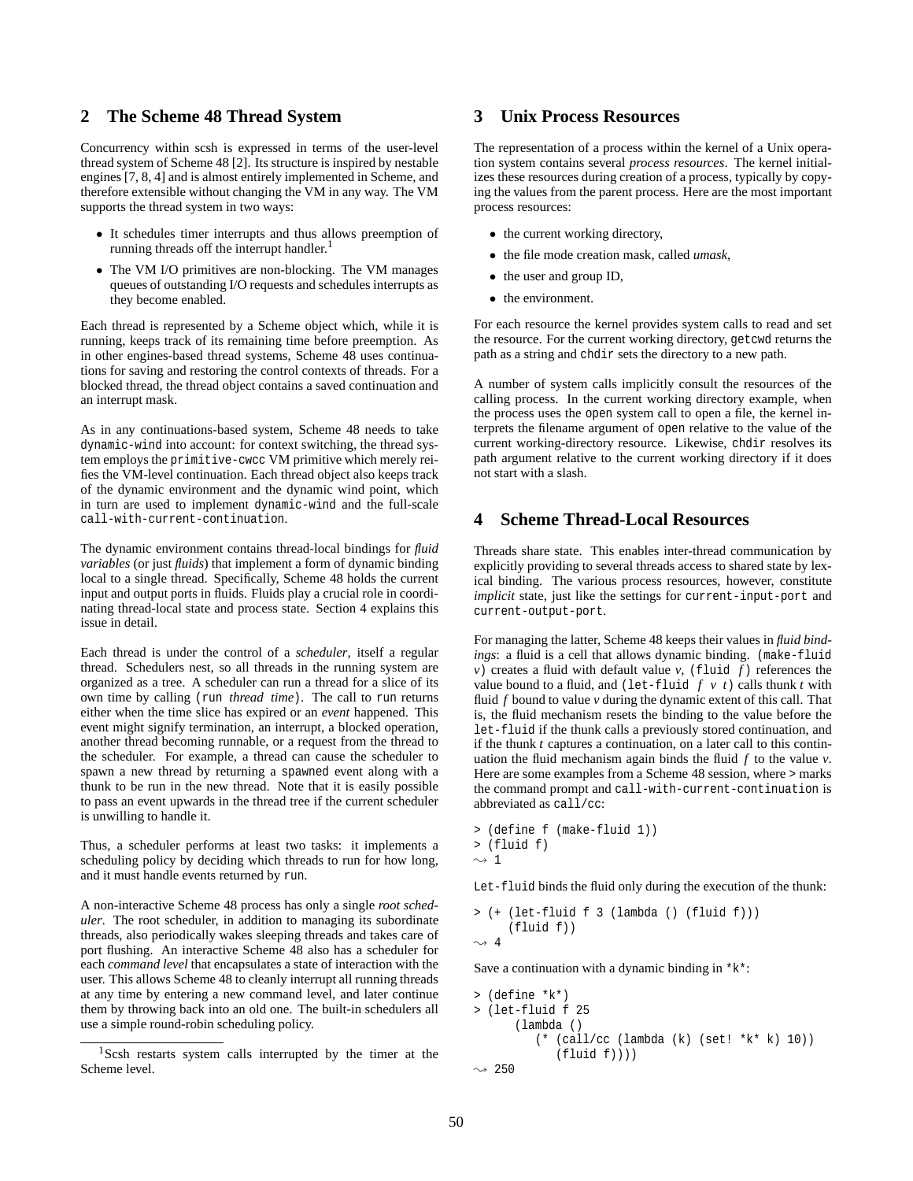#### **2 The Scheme 48 Thread System**

Concurrency within scsh is expressed in terms of the user-level thread system of Scheme 48 [2]. Its structure is inspired by nestable engines [7, 8, 4] and is almost entirely implemented in Scheme, and therefore extensible without changing the VM in any way. The VM supports the thread system in two ways:

- It schedules timer interrupts and thus allows preemption of running threads off the interrupt handler.<sup>1</sup>
- The VM I/O primitives are non-blocking. The VM manages queues of outstanding I/O requests and schedules interrupts as they become enabled.

Each thread is represented by a Scheme object which, while it is running, keeps track of its remaining time before preemption. As in other engines-based thread systems, Scheme 48 uses continuations for saving and restoring the control contexts of threads. For a blocked thread, the thread object contains a saved continuation and an interrupt mask.

As in any continuations-based system, Scheme 48 needs to take dynamic-wind into account: for context switching, the thread system employs the primitive-cwcc VM primitive which merely reifies the VM-level continuation. Each thread object also keeps track of the dynamic environment and the dynamic wind point, which in turn are used to implement dynamic-wind and the full-scale call-with-current-continuation.

The dynamic environment contains thread-local bindings for *fluid variables* (or just *fluids*) that implement a form of dynamic binding local to a single thread. Specifically, Scheme 48 holds the current input and output ports in fluids. Fluids play a crucial role in coordinating thread-local state and process state. Section 4 explains this issue in detail.

Each thread is under the control of a *scheduler*, itself a regular thread. Schedulers nest, so all threads in the running system are organized as a tree. A scheduler can run a thread for a slice of its own time by calling (run *thread time*). The call to run returns either when the time slice has expired or an *event* happened. This event might signify termination, an interrupt, a blocked operation, another thread becoming runnable, or a request from the thread to the scheduler. For example, a thread can cause the scheduler to spawn a new thread by returning a spawned event along with a thunk to be run in the new thread. Note that it is easily possible to pass an event upwards in the thread tree if the current scheduler is unwilling to handle it.

Thus, a scheduler performs at least two tasks: it implements a scheduling policy by deciding which threads to run for how long, and it must handle events returned by run.

A non-interactive Scheme 48 process has only a single *root scheduler*. The root scheduler, in addition to managing its subordinate threads, also periodically wakes sleeping threads and takes care of port flushing. An interactive Scheme 48 also has a scheduler for each *command level* that encapsulates a state of interaction with the user. This allows Scheme 48 to cleanly interrupt all running threads at any time by entering a new command level, and later continue them by throwing back into an old one. The built-in schedulers all use a simple round-robin scheduling policy.

### **3 Unix Process Resources**

The representation of a process within the kernel of a Unix operation system contains several *process resources*. The kernel initializes these resources during creation of a process, typically by copying the values from the parent process. Here are the most important process resources:

- the current working directory,
- the file mode creation mask, called *umask*,
- the user and group ID,
- the environment.

For each resource the kernel provides system calls to read and set the resource. For the current working directory, getcwd returns the path as a string and chdir sets the directory to a new path.

A number of system calls implicitly consult the resources of the calling process. In the current working directory example, when the process uses the open system call to open a file, the kernel interprets the filename argument of open relative to the value of the current working-directory resource. Likewise, chdir resolves its path argument relative to the current working directory if it does not start with a slash.

#### **4 Scheme Thread-Local Resources**

Threads share state. This enables inter-thread communication by explicitly providing to several threads access to shared state by lexical binding. The various process resources, however, constitute *implicit* state, just like the settings for current-input-port and current-output-port.

For managing the latter, Scheme 48 keeps their values in *fluid bindings*: a fluid is a cell that allows dynamic binding. (make-fluid *v*) creates a fluid with default value *v*, (fluid  $\tilde{f}$ ) references the value bound to a fluid, and (let-fluid  $f v t$ ) calls thunk  $t$  with fluid *f* bound to value *v* during the dynamic extent of this call. That is, the fluid mechanism resets the binding to the value before the let-fluid if the thunk calls a previously stored continuation, and if the thunk *t* captures a continuation, on a later call to this continuation the fluid mechanism again binds the fluid *f* to the value *v*. Here are some examples from a Scheme 48 session, where > marks the command prompt and call-with-current-continuation is abbreviated as call/cc:

```
> (define f (make-fluid 1))
> (fluid f)
\sim 1
```
Let-fluid binds the fluid only during the execution of the thunk:

```
> (+ (let-fluid f 3 (lambda () (fluid f)))
      (fluid f))
\rightsquigarrow 4
```
Save a continuation with a dynamic binding in  $*k*$ :

```
> (define *k*)
> (let-fluid f 25
      (lambda ()
          (* (call/cc (lambda (k) (set! *k* k) 10))
             (fluid f)))\rightarrow 250
```
<sup>&</sup>lt;sup>1</sup>Scsh restarts system calls interrupted by the timer at the Scheme level.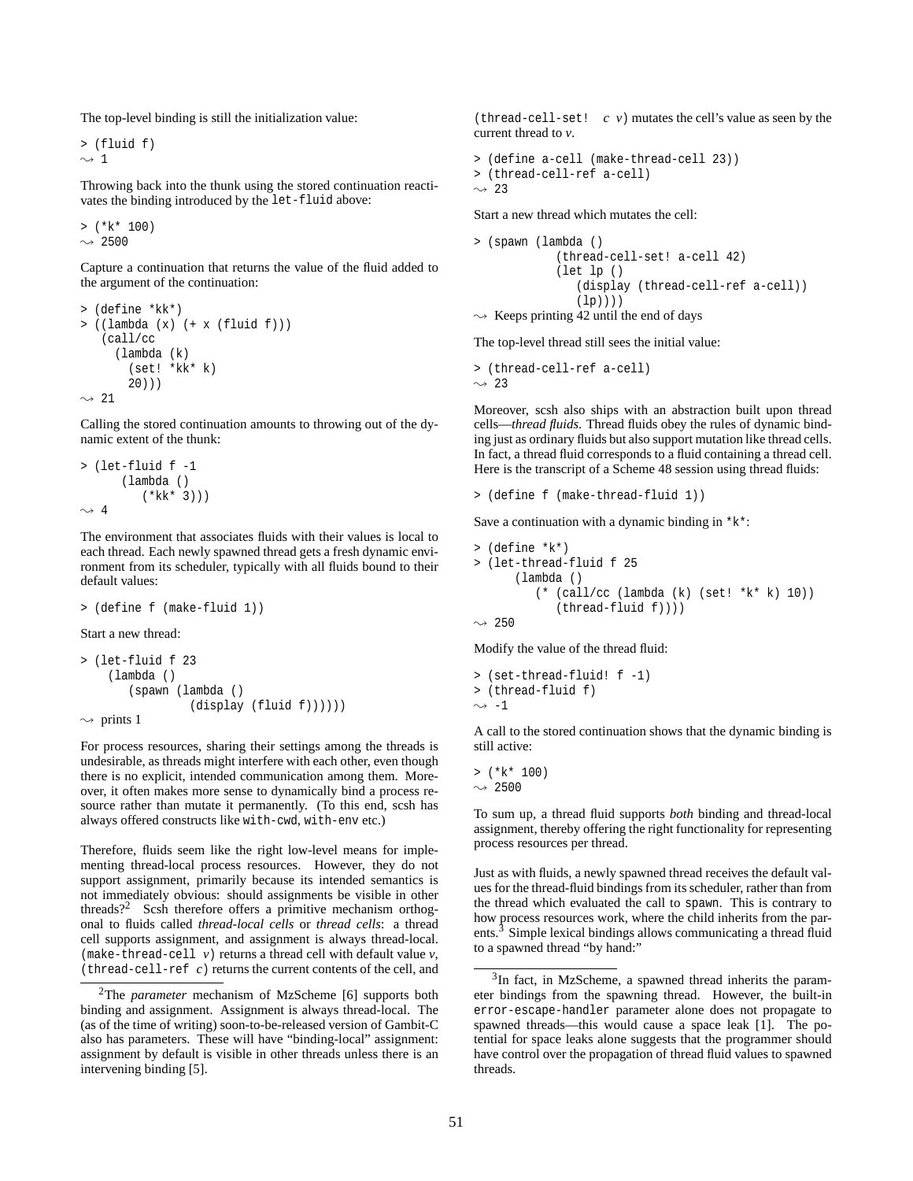The top-level binding is still the initialization value:

> (fluid f)  $\sim$  1

Throwing back into the thunk using the stored continuation reactivates the binding introduced by the let-fluid above:

 $>$  (\* $k*$  100)  $\rightarrow$  2500

Capture a continuation that returns the value of the fluid added to the argument of the continuation:

```
> (define *kk*)
> ((lambda (x) (+ x (fluid f)))
   (call/cc
      (lambda (k)
        (set! *kk* k)
        20)))
\rightarrow 21
```
Calling the stored continuation amounts to throwing out of the dynamic extent of the thunk:

```
> (let-fluid f -1
      (lambda ()
          (*kk* 3)))
\sim 4
```
The environment that associates fluids with their values is local to each thread. Each newly spawned thread gets a fresh dynamic environment from its scheduler, typically with all fluids bound to their default values:

```
> (define f (make-fluid 1))
```
Start a new thread:

```
> (let-fluid f 23
    (lambda ()
       (spawn (lambda ()
                 (display (fluid f))))))
\sim prints 1
```
For process resources, sharing their settings among the threads is undesirable, as threads might interfere with each other, even though there is no explicit, intended communication among them. Moreover, it often makes more sense to dynamically bind a process resource rather than mutate it permanently. (To this end, scsh has always offered constructs like with-cwd, with-env etc.)

Therefore, fluids seem like the right low-level means for implementing thread-local process resources. However, they do not support assignment, primarily because its intended semantics is not immediately obvious: should assignments be visible in other threads?<sup>2</sup> Scsh therefore offers a primitive mechanism orthogonal to fluids called *thread-local cells* or *thread cells*: a thread cell supports assignment, and assignment is always thread-local. (make-thread-cell *v*) returns a thread cell with default value *v*, (thread-cell-ref *c*) returns the current contents of the cell, and

(thread-cell-set! *c v*) mutates the cell's value as seen by the current thread to *v*.

```
> (define a-cell (make-thread-cell 23))
> (thread-cell-ref a-cell)
\sim 23
```
Start a new thread which mutates the cell:

```
> (spawn (lambda ()
              (thread-cell-set! a-cell 42)
              (let lp ()
                  (display (thread-cell-ref a-cell))
                  (lp)))
\rightsquigarrow Keeps printing 42 until the end of days
```
The top-level thread still sees the initial value:

> (thread-cell-ref a-cell)  $\sim$  23

Moreover, scsh also ships with an abstraction built upon thread cells—*thread fluids*. Thread fluids obey the rules of dynamic binding just as ordinary fluids but also support mutation like thread cells. In fact, a thread fluid corresponds to a fluid containing a thread cell. Here is the transcript of a Scheme 48 session using thread fluids:

```
> (define f (make-thread-fluid 1))
```
Save a continuation with a dynamic binding in  $*k*$ :

```
> (define *k*)
> (let-thread-fluid f 25
      (lambda ()
         (* (call/cc (lambda (k) (set! *k* k) 10))
            (thread-fluid f))))
```
 $\rightarrow$  250

Modify the value of the thread fluid:

> (set-thread-fluid! f -1) > (thread-fluid f)  $\sim$  -1

A call to the stored continuation shows that the dynamic binding is still active:

 $>$  (\*k\* 100)  $\rightarrow$  2500

To sum up, a thread fluid supports *both* binding and thread-local assignment, thereby offering the right functionality for representing process resources per thread.

Just as with fluids, a newly spawned thread receives the default values for the thread-fluid bindings from its scheduler, rather than from the thread which evaluated the call to spawn. This is contrary to how process resources work, where the child inherits from the parents.<sup>3</sup> Simple lexical bindings allows communicating a thread fluid to a spawned thread "by hand:"

<sup>2</sup>The *parameter* mechanism of MzScheme [6] supports both binding and assignment. Assignment is always thread-local. The (as of the time of writing) soon-to-be-released version of Gambit-C also has parameters. These will have "binding-local" assignment: assignment by default is visible in other threads unless there is an intervening binding [5].

 $3$ In fact, in MzScheme, a spawned thread inherits the parameter bindings from the spawning thread. However, the built-in error-escape-handler parameter alone does not propagate to spawned threads—this would cause a space leak [1]. The potential for space leaks alone suggests that the programmer should have control over the propagation of thread fluid values to spawned threads.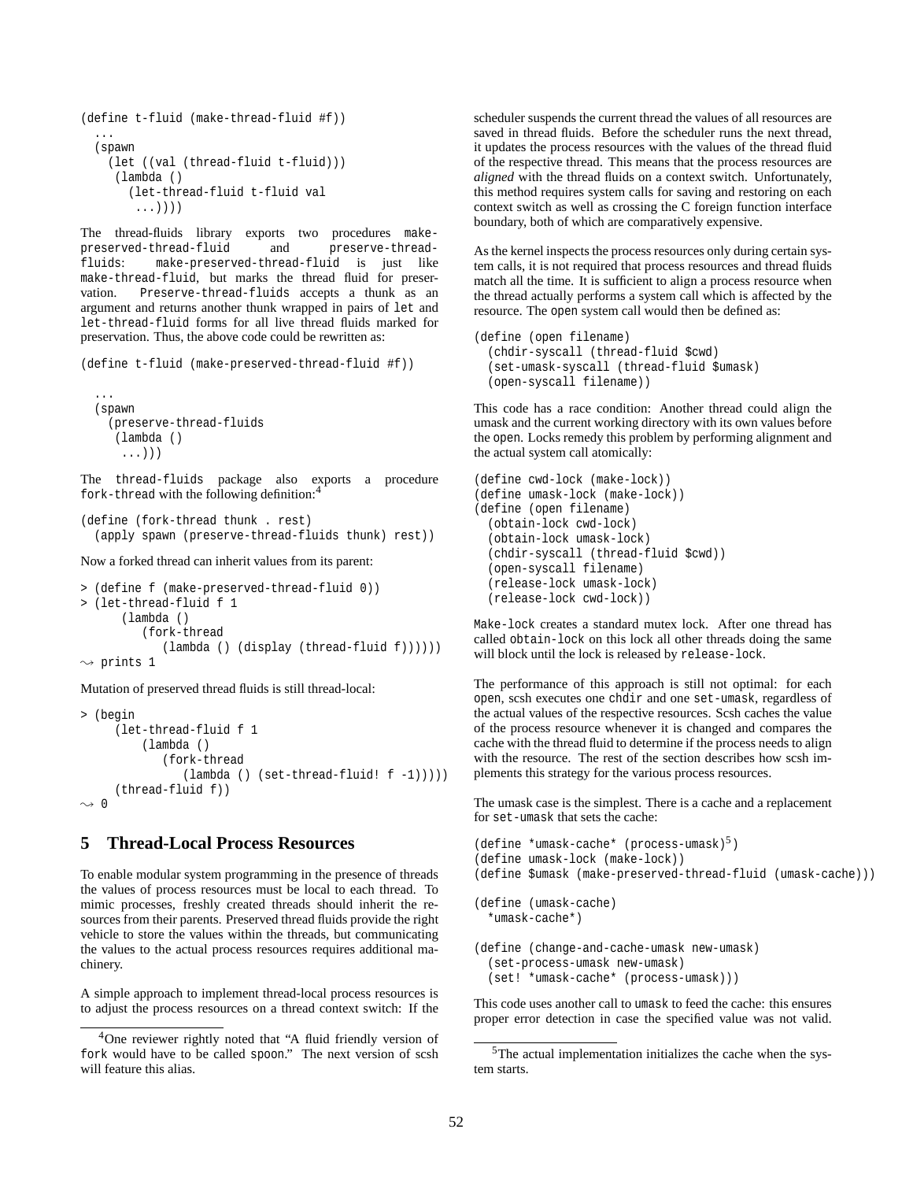```
(define t-fluid (make-thread-fluid #f))
  ...
 (spawn
   (let ((val (thread-fluid t-fluid)))
     (lambda ()
       (let-thread-fluid t-fluid val
        ...))))
```
The thread-fluids library exports two procedures makepreserved-thread-fluid and preserve-threadfluids: make-preserved-thread-fluid is just like make-thread-fluid, but marks the thread fluid for preservation. Preserve-thread-fluids accepts a thunk as an argument and returns another thunk wrapped in pairs of let and let-thread-fluid forms for all live thread fluids marked for preservation. Thus, the above code could be rewritten as:

(define t-fluid (make-preserved-thread-fluid #f))

```
...
(spawn
  (preserve-thread-fluids
   (lambda ()
    ...)))
```
The thread-fluids package also exports a procedure fork-thread with the following definition:<sup>4</sup>

```
(define (fork-thread thunk . rest)
 (apply spawn (preserve-thread-fluids thunk) rest))
```
Now a forked thread can inherit values from its parent:

```
> (define f (make-preserved-thread-fluid 0))
> (let-thread-fluid f 1
       (lambda ()
          (fork-thread
             (lambda () (display (thread-fluid f))))))
\rightsquigarrow prints 1
```
Mutation of preserved thread fluids is still thread-local:

```
> (begin
     (let-thread-fluid f 1
          (lambda ()
             (fork-thread
                (lambda () (set-thread-fluid! f -1)))))
     (thread-fluid f))
\rightarrow 0
```
## **5 Thread-Local Process Resources**

To enable modular system programming in the presence of threads the values of process resources must be local to each thread. To mimic processes, freshly created threads should inherit the resources from their parents. Preserved thread fluids provide the right vehicle to store the values within the threads, but communicating the values to the actual process resources requires additional machinery.

A simple approach to implement thread-local process resources is to adjust the process resources on a thread context switch: If the scheduler suspends the current thread the values of all resources are saved in thread fluids. Before the scheduler runs the next thread, it updates the process resources with the values of the thread fluid of the respective thread. This means that the process resources are *aligned* with the thread fluids on a context switch. Unfortunately, this method requires system calls for saving and restoring on each context switch as well as crossing the C foreign function interface boundary, both of which are comparatively expensive.

As the kernel inspects the process resources only during certain system calls, it is not required that process resources and thread fluids match all the time. It is sufficient to align a process resource when the thread actually performs a system call which is affected by the resource. The open system call would then be defined as:

```
(define (open filename)
  (chdir-syscall (thread-fluid $cwd)
  (set-umask-syscall (thread-fluid $umask)
  (open-syscall filename))
```
This code has a race condition: Another thread could align the umask and the current working directory with its own values before the open. Locks remedy this problem by performing alignment and the actual system call atomically:

```
(define cwd-lock (make-lock))
(define umask-lock (make-lock))
(define (open filename)
  (obtain-lock cwd-lock)
  (obtain-lock umask-lock)
  (chdir-syscall (thread-fluid $cwd))
  (open-syscall filename)
  (release-lock umask-lock)
  (release-lock cwd-lock))
```
Make-lock creates a standard mutex lock. After one thread has called obtain-lock on this lock all other threads doing the same will block until the lock is released by release-lock.

The performance of this approach is still not optimal: for each open, scsh executes one chdir and one set-umask, regardless of the actual values of the respective resources. Scsh caches the value of the process resource whenever it is changed and compares the cache with the thread fluid to determine if the process needs to align with the resource. The rest of the section describes how scsh implements this strategy for the various process resources.

The umask case is the simplest. There is a cache and a replacement for set-umask that sets the cache:

```
(\text{define *umask-cache* } (process-umask)^5)
```

```
(define umask-lock (make-lock))
```
(define \$umask (make-preserved-thread-fluid (umask-cache)))

```
(define (umask-cache)
  *umask-cache*)
```

```
(define (change-and-cache-umask new-umask)
  (set-process-umask new-umask)
  (set! *umask-cache* (process-umask)))
```
This code uses another call to umask to feed the cache: this ensures proper error detection in case the specified value was not valid.

<sup>&</sup>lt;sup>4</sup>One reviewer rightly noted that "A fluid friendly version of fork would have to be called spoon." The next version of scsh will feature this alias.

 $5$ The actual implementation initializes the cache when the system starts.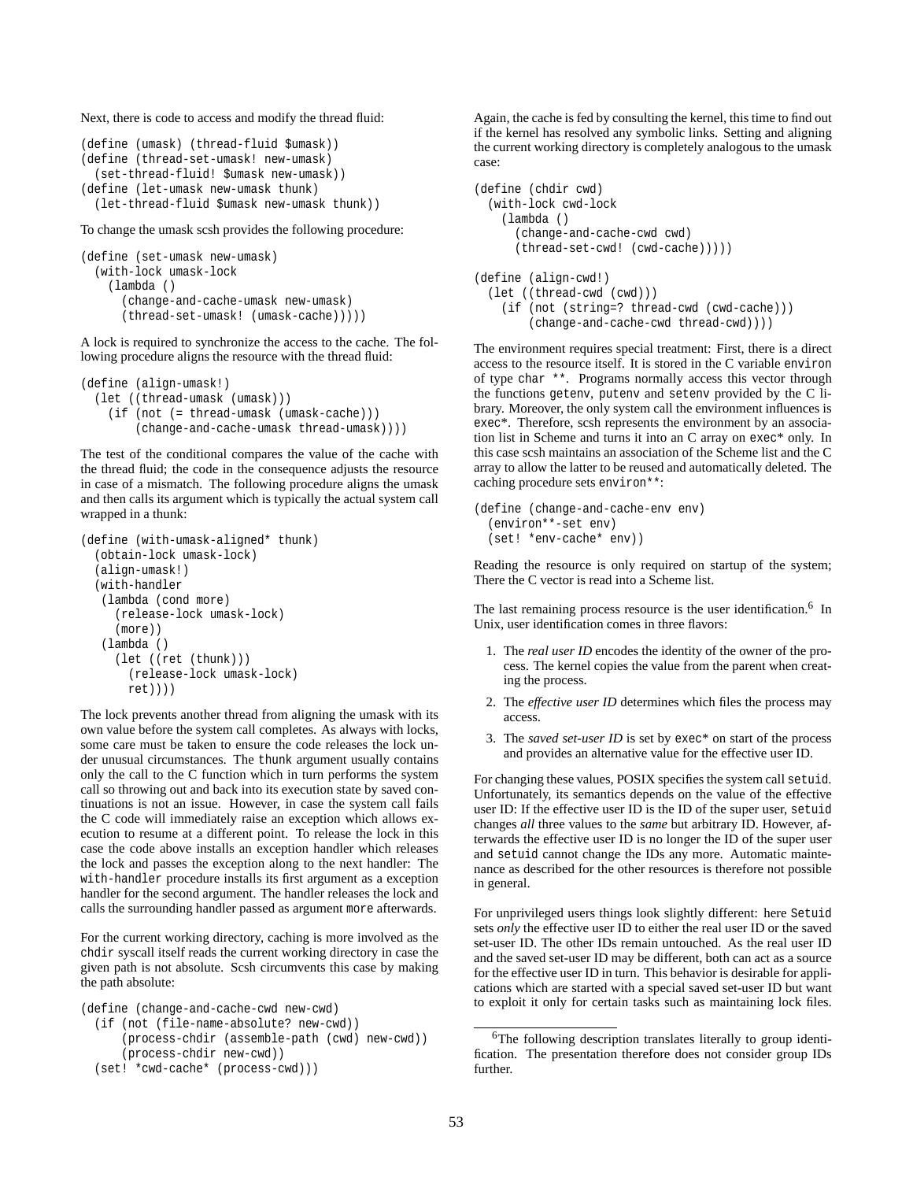Next, there is code to access and modify the thread fluid:

```
(define (umask) (thread-fluid $umask))
(define (thread-set-umask! new-umask)
  (set-thread-fluid! $umask new-umask))
(define (let-umask new-umask thunk)
 (let-thread-fluid $umask new-umask thunk))
```
To change the umask scsh provides the following procedure:

```
(define (set-umask new-umask)
 (with-lock umask-lock
   (lambda ()
      (change-and-cache-umask new-umask)
      (thread-set-umask! (umask-cache)))))
```
A lock is required to synchronize the access to the cache. The following procedure aligns the resource with the thread fluid:

```
(define (align-umask!)
 (let ((thread-umask (umask)))
    (if (not (= thread-umask (umask-cache)))
       (change-and-cache-umask thread-umask))))
```
The test of the conditional compares the value of the cache with the thread fluid; the code in the consequence adjusts the resource in case of a mismatch. The following procedure aligns the umask and then calls its argument which is typically the actual system call wrapped in a thunk:

```
(define (with-umask-aligned* thunk)
 (obtain-lock umask-lock)
 (align-umask!)
 (with-handler
  (lambda (cond more)
     (release-lock umask-lock)
     (more))
  (lambda ()
     (let ((ret (thunk)))
       (release-lock umask-lock)
      ret))))
```
The lock prevents another thread from aligning the umask with its own value before the system call completes. As always with locks, some care must be taken to ensure the code releases the lock under unusual circumstances. The thunk argument usually contains only the call to the C function which in turn performs the system call so throwing out and back into its execution state by saved continuations is not an issue. However, in case the system call fails the C code will immediately raise an exception which allows execution to resume at a different point. To release the lock in this case the code above installs an exception handler which releases the lock and passes the exception along to the next handler: The with-handler procedure installs its first argument as a exception handler for the second argument. The handler releases the lock and calls the surrounding handler passed as argument more afterwards.

For the current working directory, caching is more involved as the chdir syscall itself reads the current working directory in case the given path is not absolute. Scsh circumvents this case by making the path absolute:

```
(define (change-and-cache-cwd new-cwd)
 (if (not (file-name-absolute? new-cwd))
```

```
(process-chdir (assemble-path (cwd) new-cwd))
    (process-chdir new-cwd))
(set! *cwd-cache* (process-cwd)))
```
Again, the cache is fed by consulting the kernel, this time to find out if the kernel has resolved any symbolic links. Setting and aligning the current working directory is completely analogous to the umask case:

```
(define (chdir cwd)
  (with-lock cwd-lock
    (lambda ()
      (change-and-cache-cwd cwd)
      (thread-set-cwd! (cwd-cache)))))
(define (align-cwd!)
  (let ((thread-cwd (cwd)))
    (if (not (string=? thread-cwd (cwd-cache)))
```
The environment requires special treatment: First, there is a direct access to the resource itself. It is stored in the C variable environ of type char \*\*. Programs normally access this vector through the functions getenv, putenv and setenv provided by the C library. Moreover, the only system call the environment influences is exec\*. Therefore, scsh represents the environment by an association list in Scheme and turns it into an C array on exec\* only. In this case scsh maintains an association of the Scheme list and the C array to allow the latter to be reused and automatically deleted. The

(change-and-cache-cwd thread-cwd))))

```
(define (change-and-cache-env env)
  (environ**-set env)
  (set! *env-cache* env))
```
caching procedure sets environ\*\*:

Reading the resource is only required on startup of the system; There the C vector is read into a Scheme list.

The last remaining process resource is the user identification.<sup>6</sup> In Unix, user identification comes in three flavors:

- 1. The *real user ID* encodes the identity of the owner of the process. The kernel copies the value from the parent when creating the process.
- 2. The *effective user ID* determines which files the process may access.
- 3. The *saved set-user ID* is set by exec\* on start of the process and provides an alternative value for the effective user ID.

For changing these values, POSIX specifies the system call setuid. Unfortunately, its semantics depends on the value of the effective user ID: If the effective user ID is the ID of the super user, setuid changes *all* three values to the *same* but arbitrary ID. However, afterwards the effective user ID is no longer the ID of the super user and setuid cannot change the IDs any more. Automatic maintenance as described for the other resources is therefore not possible in general.

For unprivileged users things look slightly different: here Setuid sets *only* the effective user ID to either the real user ID or the saved set-user ID. The other IDs remain untouched. As the real user ID and the saved set-user ID may be different, both can act as a source for the effective user ID in turn. This behavior is desirable for applications which are started with a special saved set-user ID but want to exploit it only for certain tasks such as maintaining lock files.

<sup>&</sup>lt;sup>6</sup>The following description translates literally to group identification. The presentation therefore does not consider group IDs further.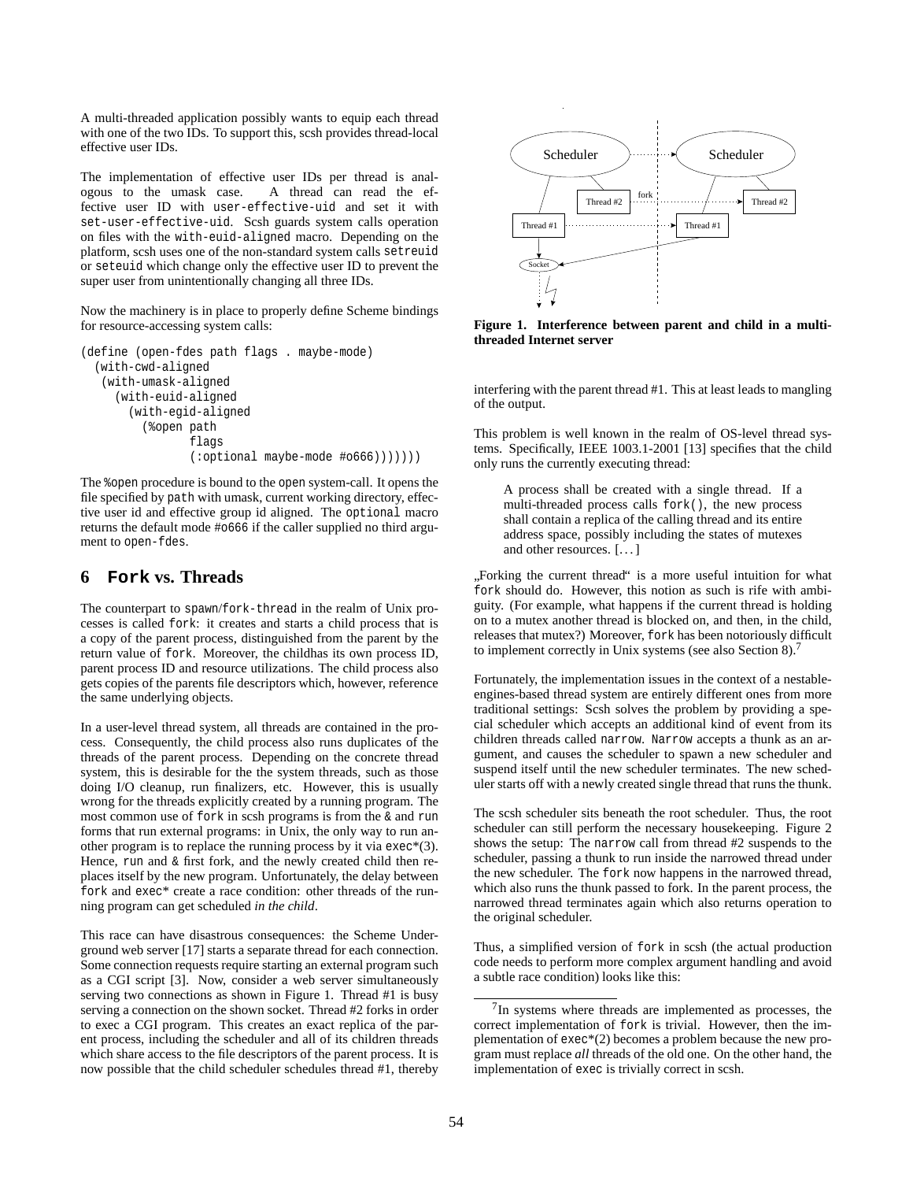A multi-threaded application possibly wants to equip each thread with one of the two IDs. To support this, scsh provides thread-local effective user IDs.

The implementation of effective user IDs per thread is analogous to the umask case. A thread can read the effective user ID with user-effective-uid and set it with set-user-effective-uid. Scsh guards system calls operation on files with the with-euid-aligned macro. Depending on the platform, scsh uses one of the non-standard system calls setreuid or seteuid which change only the effective user ID to prevent the super user from unintentionally changing all three IDs.

Now the machinery is in place to properly define Scheme bindings for resource-accessing system calls:

```
(define (open-fdes path flags . maybe-mode)
 (with-cwd-aligned
  (with-umask-aligned
    (with-euid-aligned
      (with-egid-aligned
         (%open path
                flags
                (:optional maybe-mode #o666)))))))
```
The %open procedure is bound to the open system-call. It opens the file specified by path with umask, current working directory, effective user id and effective group id aligned. The optional macro returns the default mode #o666 if the caller supplied no third argument to open-fdes.

### **6 Fork vs. Threads**

The counterpart to spawn/fork-thread in the realm of Unix processes is called fork: it creates and starts a child process that is a copy of the parent process, distinguished from the parent by the return value of fork. Moreover, the childhas its own process ID, parent process ID and resource utilizations. The child process also gets copies of the parents file descriptors which, however, reference the same underlying objects.

In a user-level thread system, all threads are contained in the process. Consequently, the child process also runs duplicates of the threads of the parent process. Depending on the concrete thread system, this is desirable for the the system threads, such as those doing I/O cleanup, run finalizers, etc. However, this is usually wrong for the threads explicitly created by a running program. The most common use of fork in scsh programs is from the & and run forms that run external programs: in Unix, the only way to run another program is to replace the running process by it via  $exec*(3)$ . Hence, run and & first fork, and the newly created child then replaces itself by the new program. Unfortunately, the delay between fork and exec\* create a race condition: other threads of the running program can get scheduled *in the child*.

This race can have disastrous consequences: the Scheme Underground web server [17] starts a separate thread for each connection. Some connection requests require starting an external program such as a CGI script [3]. Now, consider a web server simultaneously serving two connections as shown in Figure 1. Thread #1 is busy serving a connection on the shown socket. Thread #2 forks in order to exec a CGI program. This creates an exact replica of the parent process, including the scheduler and all of its children threads which share access to the file descriptors of the parent process. It is now possible that the child scheduler schedules thread #1, thereby



**Figure 1. Interference between parent and child in a multithreaded Internet server**

interfering with the parent thread #1. This at least leads to mangling of the output.

This problem is well known in the realm of OS-level thread systems. Specifically, IEEE 1003.1-2001 [13] specifies that the child only runs the currently executing thread:

A process shall be created with a single thread. If a multi-threaded process calls fork(), the new process shall contain a replica of the calling thread and its entire address space, possibly including the states of mutexes and other resources. [. . . ]

<sub>th</sub> orking the current timead is a more useful initiation for what fork should do. However, this notion as such is rife with ambi-Forking the current thread" is a more useful intuition for what guity. (For example, what happens if the current thread is holding on to a mutex another thread is blocked on, and then, in the child, releases that mutex?) Moreover, fork has been notoriously difficult to implement correctly in Unix systems (see also Section 8).<sup>7</sup>

Fortunately, the implementation issues in the context of a nestableengines-based thread system are entirely different ones from more traditional settings: Scsh solves the problem by providing a special scheduler which accepts an additional kind of event from its children threads called narrow. Narrow accepts a thunk as an argument, and causes the scheduler to spawn a new scheduler and suspend itself until the new scheduler terminates. The new scheduler starts off with a newly created single thread that runs the thunk.

The scsh scheduler sits beneath the root scheduler. Thus, the root scheduler can still perform the necessary housekeeping. Figure 2 shows the setup: The narrow call from thread #2 suspends to the scheduler, passing a thunk to run inside the narrowed thread under the new scheduler. The fork now happens in the narrowed thread, which also runs the thunk passed to fork. In the parent process, the narrowed thread terminates again which also returns operation to the original scheduler.

Thus, a simplified version of fork in scsh (the actual production code needs to perform more complex argument handling and avoid a subtle race condition) looks like this:

<sup>&</sup>lt;sup>7</sup>In systems where threads are implemented as processes, the correct implementation of fork is trivial. However, then the implementation of exec\*(2) becomes a problem because the new program must replace *all* threads of the old one. On the other hand, the implementation of exec is trivially correct in scsh.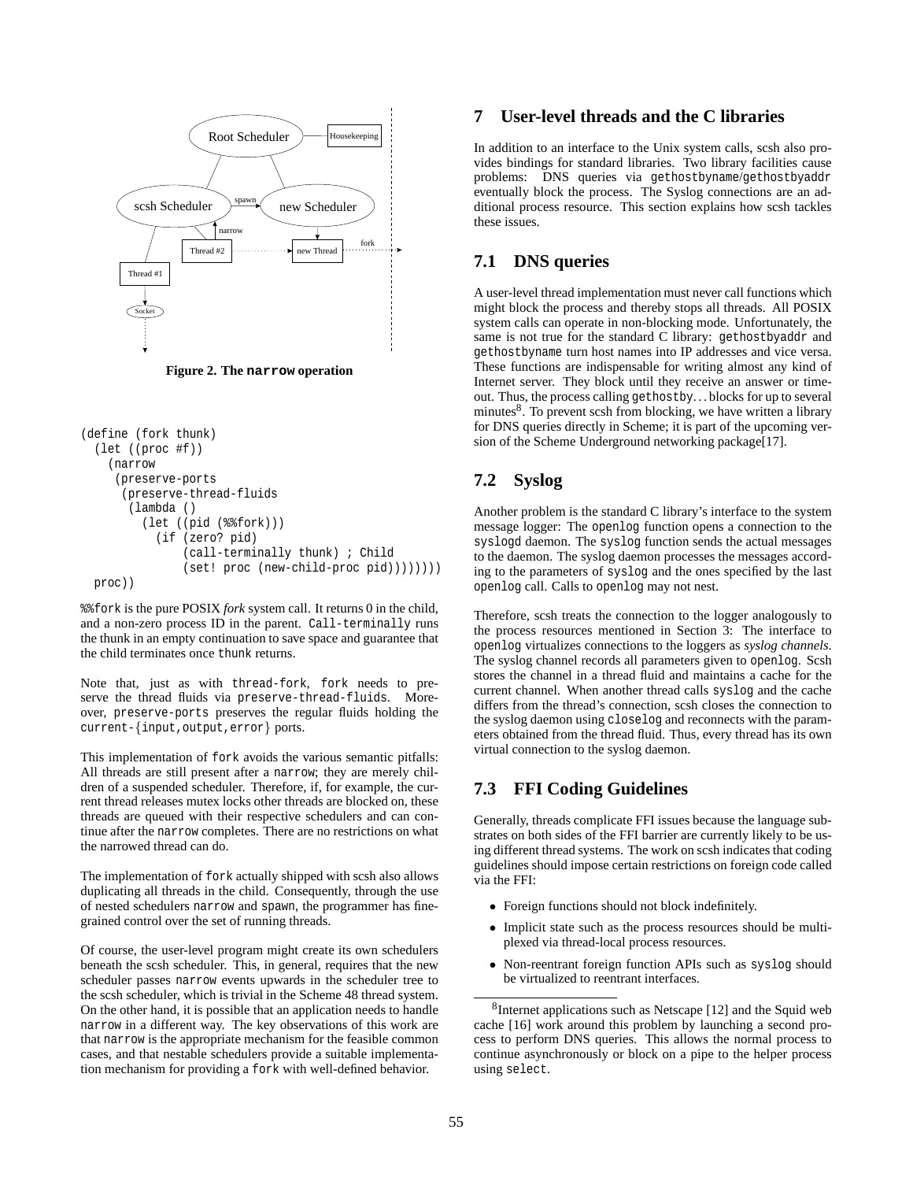

**Figure 2. The narrow operation**

```
(define (fork thunk)
 (let ((proc #f))
    (narrow
     (preserve-ports
      (preserve-thread-fluids
       (lambda ()
         (let ((pid (%%fork)))
           (if (zero? pid)
               (call-terminally thunk) ; Child
               (set! proc (new-child-proc pid))))))))
 proc))
```
%%fork is the pure POSIX *fork* system call. It returns 0 in the child, and a non-zero process ID in the parent. Call-terminally runs the thunk in an empty continuation to save space and guarantee that the child terminates once thunk returns.

Note that, just as with thread-fork, fork needs to preserve the thread fluids via preserve-thread-fluids. Moreover, preserve-ports preserves the regular fluids holding the current-{input,output,error} ports.

This implementation of fork avoids the various semantic pitfalls: All threads are still present after a narrow; they are merely children of a suspended scheduler. Therefore, if, for example, the current thread releases mutex locks other threads are blocked on, these threads are queued with their respective schedulers and can continue after the narrow completes. There are no restrictions on what the narrowed thread can do.

The implementation of fork actually shipped with scsh also allows duplicating all threads in the child. Consequently, through the use of nested schedulers narrow and spawn, the programmer has finegrained control over the set of running threads.

Of course, the user-level program might create its own schedulers beneath the scsh scheduler. This, in general, requires that the new scheduler passes narrow events upwards in the scheduler tree to the scsh scheduler, which is trivial in the Scheme 48 thread system. On the other hand, it is possible that an application needs to handle narrow in a different way. The key observations of this work are that narrow is the appropriate mechanism for the feasible common cases, and that nestable schedulers provide a suitable implementation mechanism for providing a fork with well-defined behavior.

## **7 User-level threads and the C libraries**

In addition to an interface to the Unix system calls, scsh also provides bindings for standard libraries. Two library facilities cause problems: DNS queries via gethostbyname/gethostbyaddr eventually block the process. The Syslog connections are an additional process resource. This section explains how scsh tackles these issues.

## **7.1 DNS queries**

A user-level thread implementation must never call functions which might block the process and thereby stops all threads. All POSIX system calls can operate in non-blocking mode. Unfortunately, the same is not true for the standard C library: gethostbyaddr and gethostbyname turn host names into IP addresses and vice versa. These functions are indispensable for writing almost any kind of Internet server. They block until they receive an answer or timeout. Thus, the process calling gethostby. . . blocks for up to several minutes<sup>8</sup>. To prevent scsh from blocking, we have written a library for DNS queries directly in Scheme; it is part of the upcoming version of the Scheme Underground networking package<sup>[17]</sup>.

## **7.2 Syslog**

Another problem is the standard C library's interface to the system message logger: The openlog function opens a connection to the syslogd daemon. The syslog function sends the actual messages to the daemon. The syslog daemon processes the messages according to the parameters of syslog and the ones specified by the last openlog call. Calls to openlog may not nest.

Therefore, scsh treats the connection to the logger analogously to the process resources mentioned in Section 3: The interface to openlog virtualizes connections to the loggers as *syslog channels*. The syslog channel records all parameters given to openlog. Scsh stores the channel in a thread fluid and maintains a cache for the current channel. When another thread calls syslog and the cache differs from the thread's connection, scsh closes the connection to the syslog daemon using closelog and reconnects with the parameters obtained from the thread fluid. Thus, every thread has its own virtual connection to the syslog daemon.

## **7.3 FFI Coding Guidelines**

Generally, threads complicate FFI issues because the language substrates on both sides of the FFI barrier are currently likely to be using different thread systems. The work on scsh indicates that coding guidelines should impose certain restrictions on foreign code called via the FFI:

- Foreign functions should not block indefinitely.
- Implicit state such as the process resources should be multiplexed via thread-local process resources.
- Non-reentrant foreign function APIs such as syslog should be virtualized to reentrant interfaces.

<sup>8</sup>Internet applications such as Netscape [12] and the Squid web cache [16] work around this problem by launching a second process to perform DNS queries. This allows the normal process to continue asynchronously or block on a pipe to the helper process using select.